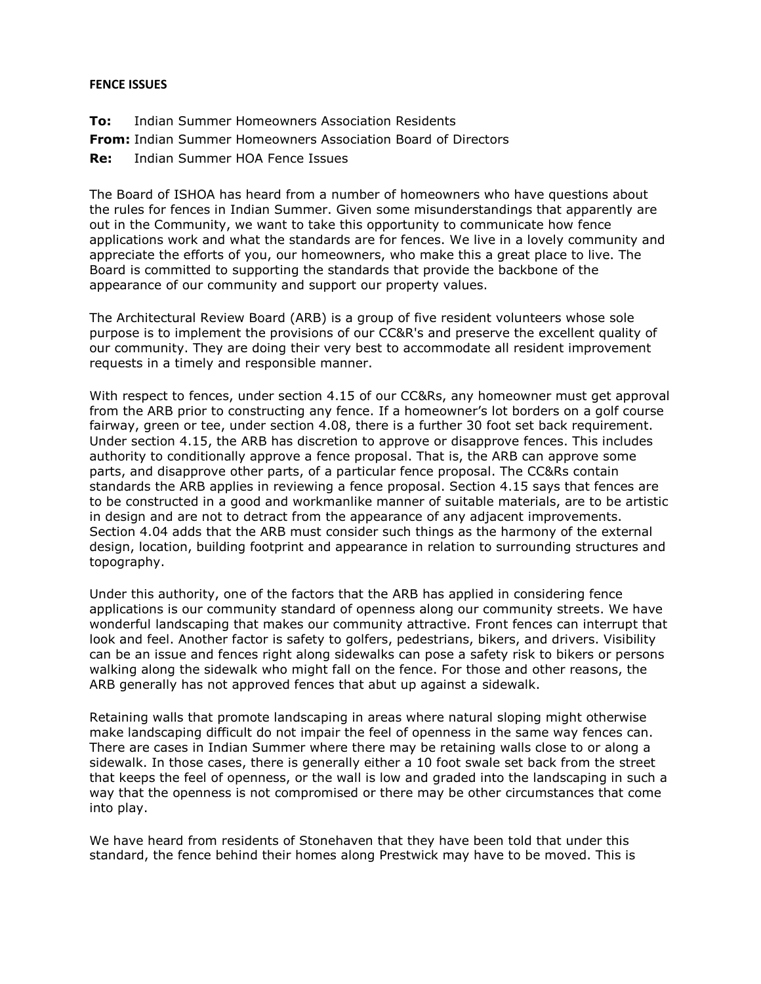## **FENCE ISSUES**

- **To:** Indian Summer Homeowners Association Residents
- **From:** Indian Summer Homeowners Association Board of Directors
- **Re:** Indian Summer HOA Fence Issues

The Board of ISHOA has heard from a number of homeowners who have questions about the rules for fences in Indian Summer. Given some misunderstandings that apparently are out in the Community, we want to take this opportunity to communicate how fence applications work and what the standards are for fences. We live in a lovely community and appreciate the efforts of you, our homeowners, who make this a great place to live. The Board is committed to supporting the standards that provide the backbone of the appearance of our community and support our property values.

The Architectural Review Board (ARB) is a group of five resident volunteers whose sole purpose is to implement the provisions of our CC&R's and preserve the excellent quality of our community. They are doing their very best to accommodate all resident improvement requests in a timely and responsible manner.

With respect to fences, under section 4.15 of our CC&Rs, any homeowner must get approval from the ARB prior to constructing any fence. If a homeowner's lot borders on a golf course fairway, green or tee, under section 4.08, there is a further 30 foot set back requirement. Under section 4.15, the ARB has discretion to approve or disapprove fences. This includes authority to conditionally approve a fence proposal. That is, the ARB can approve some parts, and disapprove other parts, of a particular fence proposal. The CC&Rs contain standards the ARB applies in reviewing a fence proposal. Section 4.15 says that fences are to be constructed in a good and workmanlike manner of suitable materials, are to be artistic in design and are not to detract from the appearance of any adjacent improvements. Section 4.04 adds that the ARB must consider such things as the harmony of the external design, location, building footprint and appearance in relation to surrounding structures and topography.

Under this authority, one of the factors that the ARB has applied in considering fence applications is our community standard of openness along our community streets. We have wonderful landscaping that makes our community attractive. Front fences can interrupt that look and feel. Another factor is safety to golfers, pedestrians, bikers, and drivers. Visibility can be an issue and fences right along sidewalks can pose a safety risk to bikers or persons walking along the sidewalk who might fall on the fence. For those and other reasons, the ARB generally has not approved fences that abut up against a sidewalk.

Retaining walls that promote landscaping in areas where natural sloping might otherwise make landscaping difficult do not impair the feel of openness in the same way fences can. There are cases in Indian Summer where there may be retaining walls close to or along a sidewalk. In those cases, there is generally either a 10 foot swale set back from the street that keeps the feel of openness, or the wall is low and graded into the landscaping in such a way that the openness is not compromised or there may be other circumstances that come into play.

We have heard from residents of Stonehaven that they have been told that under this standard, the fence behind their homes along Prestwick may have to be moved. This is